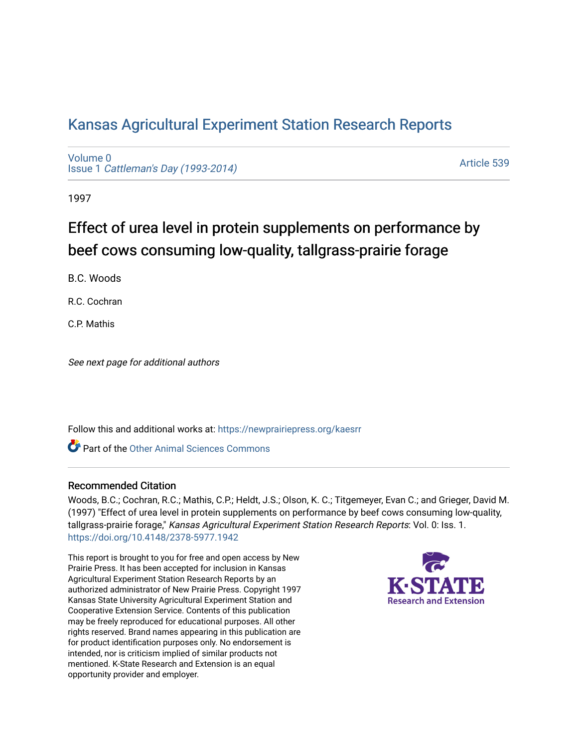## [Kansas Agricultural Experiment Station Research Reports](https://newprairiepress.org/kaesrr)

[Volume 0](https://newprairiepress.org/kaesrr/vol0) Issue 1 [Cattleman's Day \(1993-2014\)](https://newprairiepress.org/kaesrr/vol0/iss1) 

[Article 539](https://newprairiepress.org/kaesrr/vol0/iss1/539) 

1997

# Effect of urea level in protein supplements on performance by beef cows consuming low-quality, tallgrass-prairie forage

B.C. Woods

R.C. Cochran

C.P. Mathis

See next page for additional authors

Follow this and additional works at: [https://newprairiepress.org/kaesrr](https://newprairiepress.org/kaesrr?utm_source=newprairiepress.org%2Fkaesrr%2Fvol0%2Fiss1%2F539&utm_medium=PDF&utm_campaign=PDFCoverPages) 

Part of the [Other Animal Sciences Commons](http://network.bepress.com/hgg/discipline/82?utm_source=newprairiepress.org%2Fkaesrr%2Fvol0%2Fiss1%2F539&utm_medium=PDF&utm_campaign=PDFCoverPages)

#### Recommended Citation

Woods, B.C.; Cochran, R.C.; Mathis, C.P.; Heldt, J.S.; Olson, K. C.; Titgemeyer, Evan C.; and Grieger, David M. (1997) "Effect of urea level in protein supplements on performance by beef cows consuming low-quality, tallgrass-prairie forage," Kansas Agricultural Experiment Station Research Reports: Vol. 0: Iss. 1. <https://doi.org/10.4148/2378-5977.1942>

This report is brought to you for free and open access by New Prairie Press. It has been accepted for inclusion in Kansas Agricultural Experiment Station Research Reports by an authorized administrator of New Prairie Press. Copyright 1997 Kansas State University Agricultural Experiment Station and Cooperative Extension Service. Contents of this publication may be freely reproduced for educational purposes. All other rights reserved. Brand names appearing in this publication are for product identification purposes only. No endorsement is intended, nor is criticism implied of similar products not mentioned. K-State Research and Extension is an equal opportunity provider and employer.

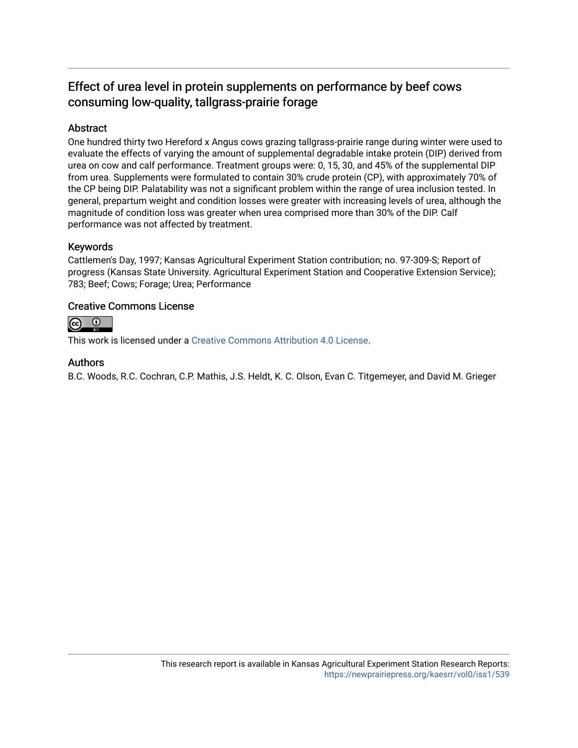### Effect of urea level in protein supplements on performance by beef cows consuming low-quality, tallgrass-prairie forage

#### Abstract

One hundred thirty two Hereford x Angus cows grazing tallgrass-prairie range during winter were used to evaluate the effects of varying the amount of supplemental degradable intake protein (DIP) derived from urea on cow and calf performance. Treatment groups were: 0, 15, 30, and 45% of the supplemental DIP from urea. Supplements were formulated to contain 30% crude protein (CP), with approximately 70% of the CP being DIP. Palatability was not a significant problem within the range of urea inclusion tested. In general, prepartum weight and condition losses were greater with increasing levels of urea, although the magnitude of condition loss was greater when urea comprised more than 30% of the DIP. Calf performance was not affected by treatment.

#### Keywords

Cattlemen's Day, 1997; Kansas Agricultural Experiment Station contribution; no. 97-309-S; Report of progress (Kansas State University. Agricultural Experiment Station and Cooperative Extension Service); 783; Beef; Cows; Forage; Urea; Performance

#### Creative Commons License



This work is licensed under a [Creative Commons Attribution 4.0 License](https://creativecommons.org/licenses/by/4.0/).

#### Authors

B.C. Woods, R.C. Cochran, C.P. Mathis, J.S. Heldt, K. C. Olson, Evan C. Titgemeyer, and David M. Grieger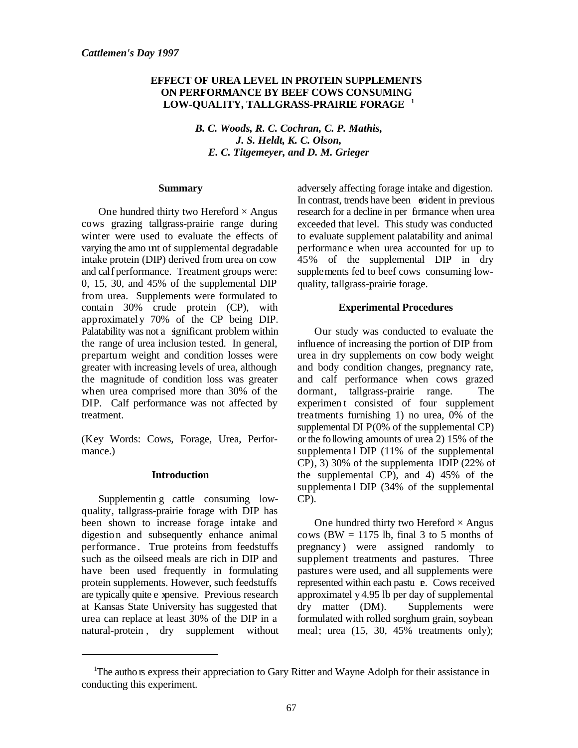#### **EFFECT OF UREA LEVEL IN PROTEIN SUPPLEMENTS ON PERFORMANCE BY BEEF COWS CONSUMING LOW-QUALITY, TALLGRASS-PRAIRIE FORAGE <sup>1</sup>**

*B. C. Woods, R. C. Cochran, C. P. Mathis, J. S. Heldt, K. C. Olson, E. C. Titgemeyer, and D. M. Grieger*

#### **Summary**

One hundred thirty two Hereford  $\times$  Angus cows grazing tallgrass-prairie range during winter were used to evaluate the effects of varying the amo unt of supplemental degradable intake protein (DIP) derived from urea on cow and calf performance. Treatment groups were: 0, 15, 30, and 45% of the supplemental DIP from urea. Supplements were formulated to contain 30% crude protein (CP), with approximatel y 70% of the CP being DIP. Palatability was not a significant problem within the range of urea inclusion tested. In general, prepartum weight and condition losses were greater with increasing levels of urea, although the magnitude of condition loss was greater when urea comprised more than 30% of the DIP. Calf performance was not affected by treatment.

(Key Words: Cows, Forage, Urea, Performance.)

#### **Introduction**

Supplementin g cattle consuming lowquality, tallgrass-prairie forage with DIP has been shown to increase forage intake and digestion and subsequently enhance animal performance . True proteins from feedstuffs such as the oilseed meals are rich in DIP and have been used frequently in formulating protein supplements. However, such feedstuffs are typically quite e xpensive. Previous research at Kansas State University has suggested that urea can replace at least 30% of the DIP in a natural-protein , dry supplement without adversely affecting forage intake and digestion. In contrast, trends have been wident in previous research for a decline in per formance when urea exceeded that level. This study was conducted to evaluate supplement palatability and animal performanc e when urea accounted for up to 45% of the supplemental DIP in dry supplements fed to beef cows consuming lowquality, tallgrass-prairie forage.

#### **Experimental Procedures**

Our study was conducted to evaluate the influence of increasing the portion of DIP from urea in dry supplements on cow body weight and body condition changes, pregnancy rate, and calf performance when cows grazed dormant, tallgrass-prairie range. The experimen t consisted of four supplement treatments furnishing 1) no urea, 0% of the supplemental  $DI P(0\% \text{ of the supplemental CP})$ or the following amounts of urea 2) 15% of the supplemental DIP (11% of the supplemental  $CP$ ), 3) 30% of the supplementa IDIP (22% of the supplemental CP), and 4) 45% of the supplemental DIP (34% of the supplemental CP).

One hundred thirty two Hereford  $\times$  Angus cows (BW  $=$  1175 lb, final 3 to 5 months of pregnancy ) were assigned randomly to supplement treatments and pastures. Three pastures were used, and all supplements were represented within each pastu **e**. Cows received approximatel y 4.95 lb per day of supplemental dry matter (DM). Supplements were formulated with rolled sorghum grain, soybean meal; urea (15, 30, 45% treatments only);

<sup>&</sup>lt;sup>1</sup>The autho is express their appreciation to Gary Ritter and Wayne Adolph for their assistance in conducting this experiment.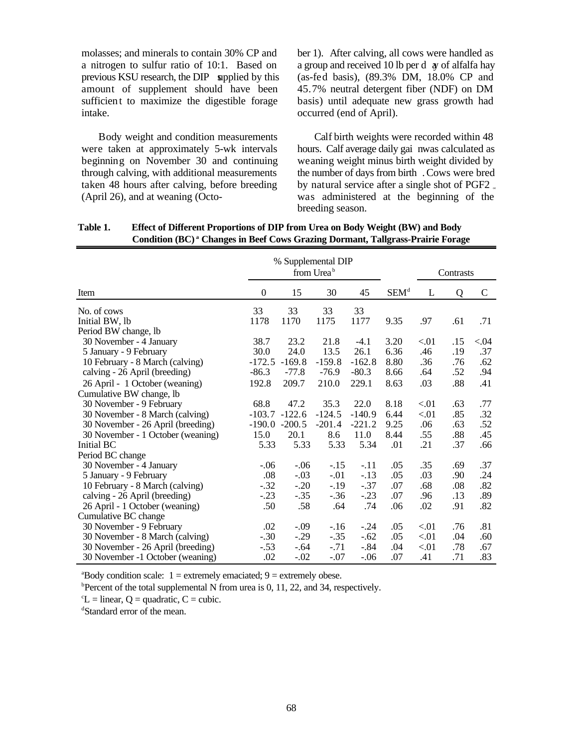molasses; and minerals to contain 30% CP and a nitrogen to sulfur ratio of 10:1. Based on previous KSU research, the DIP supplied by this amount of supplement should have been sufficient to maximize the digestible forage intake.

Body weight and condition measurements were taken at approximately 5-wk intervals beginning on November 30 and continuing through calving, with additional measurements taken 48 hours after calving, before breeding (April 26), and at weaning (October 1). After calving, all cows were handled as a group and received 10 lb per d  $\alpha$  of alfalfa hay (as-fed basis), (89.3% DM, 18.0% CP and 45.7% neutral detergent fiber (NDF) on DM basis) until adequate new grass growth had occurred (end of April).

Calf birth weights were recorded within 48 hours. Calf average daily gai nwas calculated as weaning weight minus birth weight divided by the number of days from birth . Cows were bred by natural service after a single shot of PGF2  $_{\ast}$ was administered at the beginning of the breeding season.

|                                   | % Supplemental DIP<br>from Urea <sup>b</sup> |                 |          |          |                  | Contrasts |     |             |
|-----------------------------------|----------------------------------------------|-----------------|----------|----------|------------------|-----------|-----|-------------|
| Item                              | $\overline{0}$                               | 15              | 30       | 45       | SEM <sup>d</sup> | L         | Q   | $\mathbf C$ |
| No. of cows                       | 33                                           | 33              | 33       | 33       |                  |           |     |             |
| Initial BW, lb                    | 1178                                         | 1170            | 1175     | 1177     | 9.35             | .97       | .61 | .71         |
| Period BW change, lb              |                                              |                 |          |          |                  |           |     |             |
| 30 November - 4 January           | 38.7                                         | 23.2            | 21.8     | $-4.1$   | 3.20             | < 01      | .15 | < 04        |
| 5 January - 9 February            | 30.0                                         | 24.0            | 13.5     | 26.1     | 6.36             | .46       | .19 | .37         |
| 10 February - 8 March (calving)   | $-172.5$                                     | $-169.8$        | $-159.8$ | $-162.8$ | 8.80             | .36       | .76 | .62         |
| calving - 26 April (breeding)     | $-86.3$                                      | $-77.8$         | $-76.9$  | $-80.3$  | 8.66             | .64       | .52 | .94         |
| 26 April - 1 October (weaning)    | 192.8                                        | 209.7           | 210.0    | 229.1    | 8.63             | .03       | .88 | .41         |
| Cumulative BW change, lb          |                                              |                 |          |          |                  |           |     |             |
| 30 November - 9 February          | 68.8                                         | 47.2            | 35.3     | 22.0     | 8.18             | < 01      | .63 | .77         |
| 30 November - 8 March (calving)   |                                              | $-103.7 -122.6$ | $-124.5$ | $-140.9$ | 6.44             | < 01      | .85 | .32         |
| 30 November - 26 April (breeding) |                                              | $-190.0 -200.5$ | $-201.4$ | $-221.2$ | 9.25             | .06       | .63 | .52         |
| 30 November - 1 October (weaning) | 15.0                                         | 20.1            | 8.6      | 11.0     | 8.44             | .55       | .88 | .45         |
| Initial BC                        | 5.33                                         | 5.33            | 5.33     | 5.34     | .01              | .21       | .37 | .66         |
| Period BC change                  |                                              |                 |          |          |                  |           |     |             |
| 30 November - 4 January           | $-.06$                                       | $-.06$          | $-.15$   | $-.11$   | .05              | .35       | .69 | .37         |
| 5 January - 9 February            | .08                                          | $-.03$          | $-.01$   | $-.13$   | .05              | .03       | .90 | .24         |
| 10 February - 8 March (calving)   | $-.32$                                       | $-.20$          | $-.19$   | $-.37$   | .07              | .68       | .08 | .82         |
| calving - 26 April (breeding)     | $-.23$                                       | $-.35$          | $-.36$   | $-.23$   | .07              | .96       | .13 | .89         |
| 26 April - 1 October (weaning)    | .50                                          | .58             | .64      | .74      | .06              | .02       | .91 | .82         |
| Cumulative BC change              |                                              |                 |          |          |                  |           |     |             |
| 30 November - 9 February          | .02                                          | $-.09$          | $-.16$   | $-.24$   | .05              | < 01      | .76 | .81         |
| 30 November - 8 March (calving)   | $-.30$                                       | $-.29$          | $-.35$   | $-.62$   | .05              | < 01      | .04 | .60         |
| 30 November - 26 April (breeding) | $-.53$                                       | $-.64$          | $-.71$   | $-.84$   | .04              | < 01      | .78 | .67         |
| 30 November -1 October (weaning)  | .02                                          | $-.02$          | $-.07$   | $-.06$   | .07              | .41       | .71 | .83         |

**Table 1. Effect of Different Proportions of DIP from Urea on Body Weight (BW) and Body Condition (BC)<sup>ª</sup> Changes in Beef Cows Grazing Dormant, Tallgrass-Prairie Forage** 

 $a^2$ Body condition scale:  $1 =$  extremely emaciated;  $9 =$  extremely obese.

<sup>b</sup>Percent of the total supplemental N from urea is 0, 11, 22, and 34, respectively.

 ${}^{\circ}L$  = linear, Q = quadratic, C = cubic.

<sup>d</sup>Standard error of the mean.